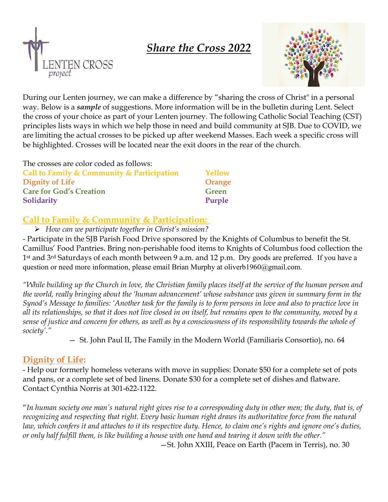





During our Lenten journey, we can make a difference by "sharing the cross of Christ" in a personal way. Below is a *sample* of suggestions. More information will be in the bulletin during Lent. Select the cross of your choice as part of your Lenten journey. The following Catholic Social Teaching (CST) principles lists ways in which we help those in need and build community at SJB. Due to COVID, we are limiting the actual crosses to be picked up after weekend Masses. Each week a specific cross will be highlighted. Crosses will be located near the exit doors in the rear of the church.

The crosses are color coded as follows:

| Call to Family & Community & Participation | Yellow       |
|--------------------------------------------|--------------|
| <b>Dignity of Life</b>                     | Orange       |
| <b>Care for God's Creation</b>             | <b>Green</b> |
| <b>Solidarity</b>                          | Purple       |

## **Call to Family & Community & Participation:**

*How can we participate together in Christ's mission?*

- Participate in the SJB Parish Food Drive sponsored by the Knights of Columbus to benefit the St. Camillus' Food Pantries. Bring non-perishable food items to Knights of Columbus food collection the 1st and 3rd Saturdays of each month between 9 a.m. and 12 p.m. Dry goods are preferred. If you have a question or need more information, please email Brian Murphy at oliverb1960@gmail.com.

*"While building up the Church in love, the Christian family places itself at the service of the human person and the world, really bringing about the 'human advancement' whose substance was given in summary form in the Synod's Message to families: 'Another task for the family is to form persons in love and also to practice love in all its relationships, so that it does not live closed in on itself, but remains open to the community, moved by a sense of justice and concern for others, as well as by a consciousness of its responsibility towards the whole of society'."* 

— St. John Paul II, The Family in the Modern World (Familiaris Consortio), no. 64

## **Dignity of Life:**

- Help our formerly homeless veterans with move in supplies: Donate \$50 for a complete set of pots and pans, or a complete set of bed linens. Donate \$30 for a complete set of dishes and flatware. Contact Cynthia Norris at 301-622-1122.

"*In human society one man's natural right gives rise to a corresponding duty in other men; the duty, that is, of recognizing and respecting that right. Every basic human right draws its authoritative force from the natural law, which confers it and attaches to it its respective duty. Hence, to claim one's rights and ignore one's duties, or only half fulfill them, is like building a house with one hand and tearing it down with the other."* —St. John XXIII, Peace on Earth (Pacem in Terris), no. 30